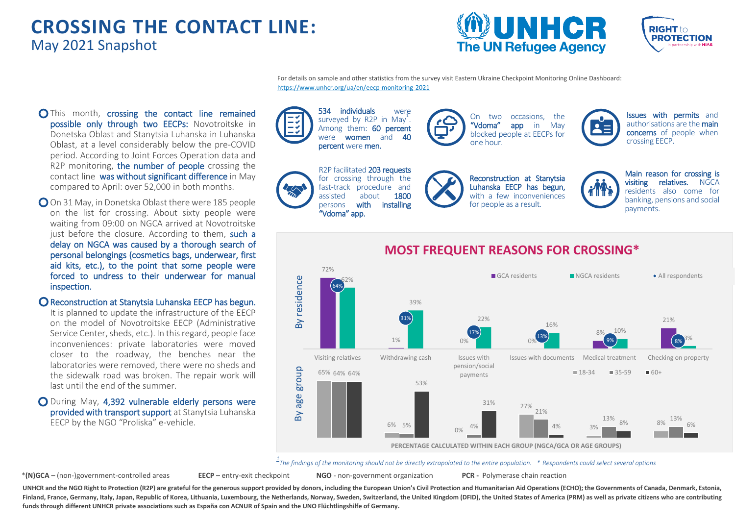# **CROSSING THE CONTACT LINE:** May 2021 Snapshot





For details on sample and other statistics from the survey visit Eastern Ukraine Checkpoint Monitoring Online Dashboard: <https://www.unhcr.org/ua/en/eecp-monitoring-2021>

- O This month, crossing the contact line remained possible only through two EECPs: Novotroitske in Donetska Oblast and Stanytsia Luhanska in Luhanska Oblast, at a level considerably below the pre-COVID period. According to Joint Forces Operation data and R2P monitoring, the number of people crossing the contact line was without significant difference in May compared to April: over 52,000 in both months.
- O On 31 May, in Donetska Oblast there were 185 people on the list for crossing. About sixty people were waiting from 09:00 on NGCA arrived at Novotroitske just before the closure. According to them, such a delay on NGCA was caused by a thorough search of personal belongings (cosmetics bags, underwear, first aid kits, etc.), to the point that some people were forced to undress to their underwear for manual inspection.
- **O** Reconstruction at Stanytsia Luhanska EECP has begun.

It is planned to update the infrastructure of the EECP on the model of Novotroitske EECP (Administrative Service Center, sheds, etc.). In this regard, people face inconveniences: private laboratories were moved closer to the roadway, the benches near the laboratories were removed, there were no sheds and the sidewalk road was broken. The repair work will last until the end of the summer.

During May, 4,392 vulnerable elderly persons were provided with transport support at Stanytsia Luhanska EECP by the NGO "Proliska" e-vehicle.

534 individuals were surveyed by R2P in May<sup>1</sup>. Among them: **60 percent**<br>were **women** and **40** were **women** and percent were men. R2P facilitated 203 requests for crossing through the Reconstruction at Stanytsia On two occasions, the<br>"Vdoma" app in May in May blocked people at EECPs for one hour. Issues with permits and authorisations are the main concerns of people when crossing EECP.

fast-track procedure and<br>assisted about **1800** assisted about<br>persons **with** installing "Vdoma" app.



Luhanska EECP has begun, with a few inconveniences for people as a result.

payments.



Main reason for crossing is visiting relatives. NGCA residents also come for banking, pensions and social



# **MOST FREQUENT REASONS FOR CROSSING\***

*1 The findings of the monitoring should not be directly extrapolated to the entire population. \* Respondents could select several options*

\***(N)GCA** – (non-)government-controlled areas **EECP** – entry-exit checkpoint **NGO** - non-government organization **PCR -** Polymerase chain reaction

UNHCR and the NGO Right to Protection (R2P) are grateful for the generous support provided by donors, including the European Union's Civil Protection and Humanitarian Aid Operations (ECHO); the Governments of Canada, Denma Finland, France, Germany, Italy, Japan, Republic of Korea, Lithuania, Luxembourg, the Netherlands, Norway, Sweden, Switzerland, the United Kingdom (DFID), the United States of America (PRM) as well as private citizens who **funds through different UNHCR private associations such as España con ACNUR of Spain and the UNO Flüchtlingshilfe of Germany.**